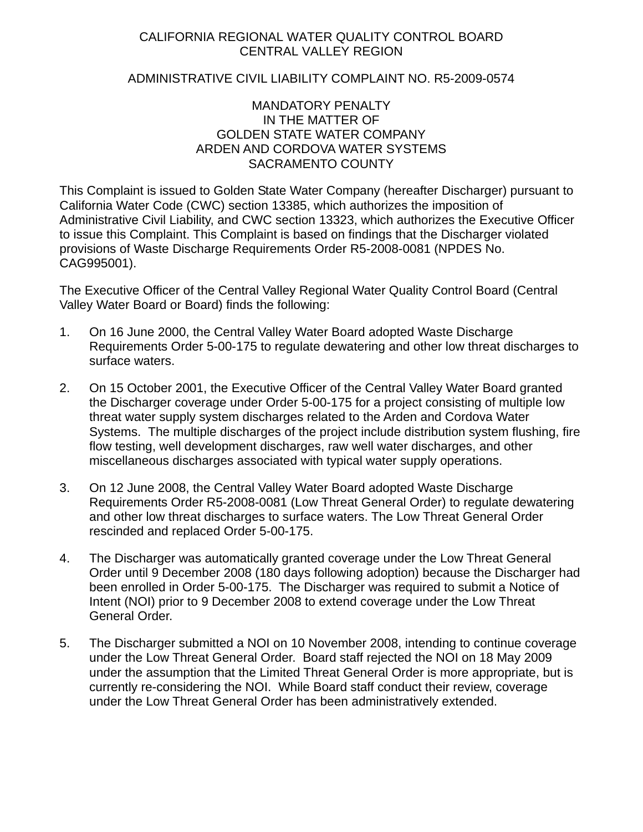# CALIFORNIA REGIONAL WATER QUALITY CONTROL BOARD CENTRAL VALLEY REGION

# ADMINISTRATIVE CIVIL LIABILITY COMPLAINT NO. R5-2009-0574

### MANDATORY PENALTY IN THE MATTER OF GOLDEN STATE WATER COMPANY ARDEN AND CORDOVA WATER SYSTEMS SACRAMENTO COUNTY

This Complaint is issued to Golden State Water Company (hereafter Discharger) pursuant to California Water Code (CWC) section 13385, which authorizes the imposition of Administrative Civil Liability, and CWC section 13323, which authorizes the Executive Officer to issue this Complaint. This Complaint is based on findings that the Discharger violated provisions of Waste Discharge Requirements Order R5-2008-0081 (NPDES No. CAG995001).

The Executive Officer of the Central Valley Regional Water Quality Control Board (Central Valley Water Board or Board) finds the following:

- 1. On 16 June 2000, the Central Valley Water Board adopted Waste Discharge Requirements Order 5-00-175 to regulate dewatering and other low threat discharges to surface waters.
- 2. On 15 October 2001, the Executive Officer of the Central Valley Water Board granted the Discharger coverage under Order 5-00-175 for a project consisting of multiple low threat water supply system discharges related to the Arden and Cordova Water Systems. The multiple discharges of the project include distribution system flushing, fire flow testing, well development discharges, raw well water discharges, and other miscellaneous discharges associated with typical water supply operations.
- 3. On 12 June 2008, the Central Valley Water Board adopted Waste Discharge Requirements Order R5-2008-0081 (Low Threat General Order) to regulate dewatering and other low threat discharges to surface waters. The Low Threat General Order rescinded and replaced Order 5-00-175.
- 4. The Discharger was automatically granted coverage under the Low Threat General Order until 9 December 2008 (180 days following adoption) because the Discharger had been enrolled in Order 5-00-175. The Discharger was required to submit a Notice of Intent (NOI) prior to 9 December 2008 to extend coverage under the Low Threat General Order.
- 5. The Discharger submitted a NOI on 10 November 2008, intending to continue coverage under the Low Threat General Order. Board staff rejected the NOI on 18 May 2009 under the assumption that the Limited Threat General Order is more appropriate, but is currently re-considering the NOI. While Board staff conduct their review, coverage under the Low Threat General Order has been administratively extended.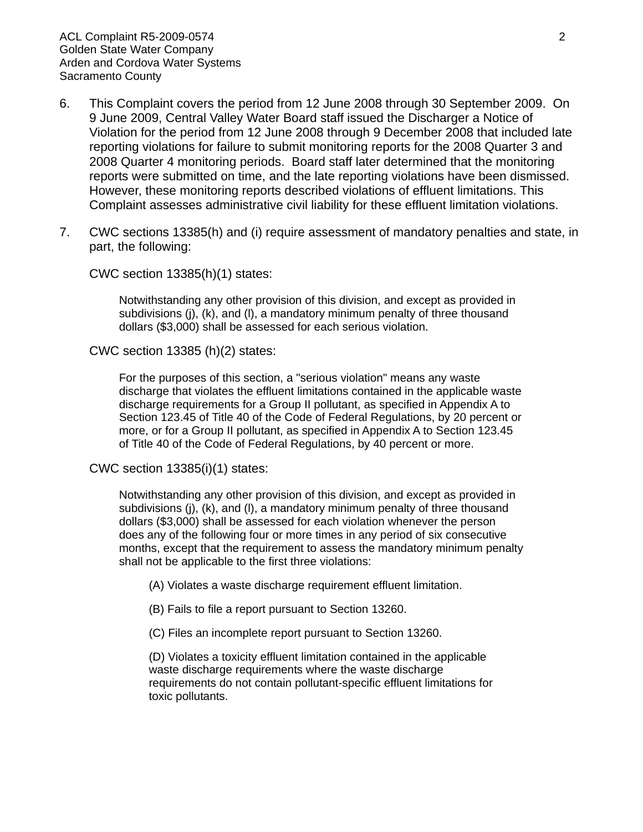- 6. This Complaint covers the period from 12 June 2008 through 30 September 2009. On 9 June 2009, Central Valley Water Board staff issued the Discharger a Notice of Violation for the period from 12 June 2008 through 9 December 2008 that included late reporting violations for failure to submit monitoring reports for the 2008 Quarter 3 and 2008 Quarter 4 monitoring periods. Board staff later determined that the monitoring reports were submitted on time, and the late reporting violations have been dismissed. However, these monitoring reports described violations of effluent limitations. This Complaint assesses administrative civil liability for these effluent limitation violations.
- 7. CWC sections 13385(h) and (i) require assessment of mandatory penalties and state, in part, the following:

CWC section 13385(h)(1) states:

Notwithstanding any other provision of this division, and except as provided in subdivisions (j), (k), and (l), a mandatory minimum penalty of three thousand dollars (\$3,000) shall be assessed for each serious violation.

CWC section 13385 (h)(2) states:

For the purposes of this section, a "serious violation" means any waste discharge that violates the effluent limitations contained in the applicable waste discharge requirements for a Group II pollutant, as specified in Appendix A to Section 123.45 of Title 40 of the Code of Federal Regulations, by 20 percent or more, or for a Group II pollutant, as specified in Appendix A to Section 123.45 of Title 40 of the Code of Federal Regulations, by 40 percent or more.

CWC section 13385(i)(1) states:

Notwithstanding any other provision of this division, and except as provided in subdivisions (j), (k), and (l), a mandatory minimum penalty of three thousand dollars (\$3,000) shall be assessed for each violation whenever the person does any of the following four or more times in any period of six consecutive months, except that the requirement to assess the mandatory minimum penalty shall not be applicable to the first three violations:

(A) Violates a waste discharge requirement effluent limitation.

(B) Fails to file a report pursuant to Section 13260.

(C) Files an incomplete report pursuant to Section 13260.

(D) Violates a toxicity effluent limitation contained in the applicable waste discharge requirements where the waste discharge requirements do not contain pollutant-specific effluent limitations for toxic pollutants.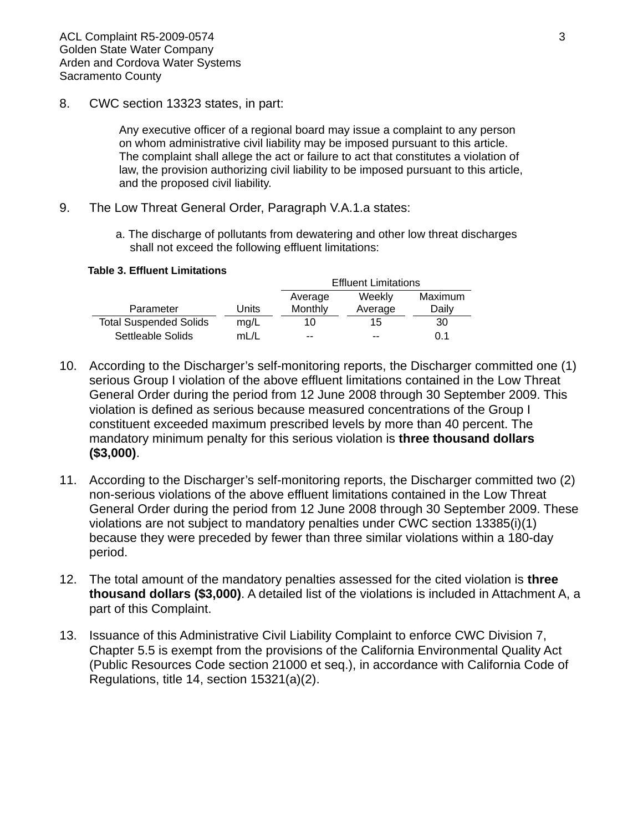8. CWC section 13323 states, in part:

Any executive officer of a regional board may issue a complaint to any person on whom administrative civil liability may be imposed pursuant to this article. The complaint shall allege the act or failure to act that constitutes a violation of law, the provision authorizing civil liability to be imposed pursuant to this article, and the proposed civil liability.

- 9. The Low Threat General Order, Paragraph V.A.1.a states:
	- a. The discharge of pollutants from dewatering and other low threat discharges shall not exceed the following effluent limitations:

#### **Table 3. Effluent Limitations**

|                               |       | <b>Effluent Limitations</b> |         |         |  |
|-------------------------------|-------|-----------------------------|---------|---------|--|
|                               |       | Average                     | Weekly  | Maximum |  |
| Parameter                     | Units | Monthly                     | Average | Daily   |  |
| <b>Total Suspended Solids</b> | mg/L  | 10                          | 15      | 30      |  |
| Settleable Solids             | mL/L  | $-$                         | $- -$   | 0.1     |  |

- 10. According to the Discharger's self-monitoring reports, the Discharger committed one (1) serious Group I violation of the above effluent limitations contained in the Low Threat General Order during the period from 12 June 2008 through 30 September 2009. This violation is defined as serious because measured concentrations of the Group I constituent exceeded maximum prescribed levels by more than 40 percent. The mandatory minimum penalty for this serious violation is **three thousand dollars (\$3,000)**.
- 11. According to the Discharger's self-monitoring reports, the Discharger committed two (2) non-serious violations of the above effluent limitations contained in the Low Threat General Order during the period from 12 June 2008 through 30 September 2009. These violations are not subject to mandatory penalties under CWC section 13385(i)(1) because they were preceded by fewer than three similar violations within a 180-day period.
- 12. The total amount of the mandatory penalties assessed for the cited violation is **three thousand dollars (\$3,000)**. A detailed list of the violations is included in Attachment A, a part of this Complaint.
- 13. Issuance of this Administrative Civil Liability Complaint to enforce CWC Division 7, Chapter 5.5 is exempt from the provisions of the California Environmental Quality Act (Public Resources Code section 21000 et seq.), in accordance with California Code of Regulations, title 14, section 15321(a)(2).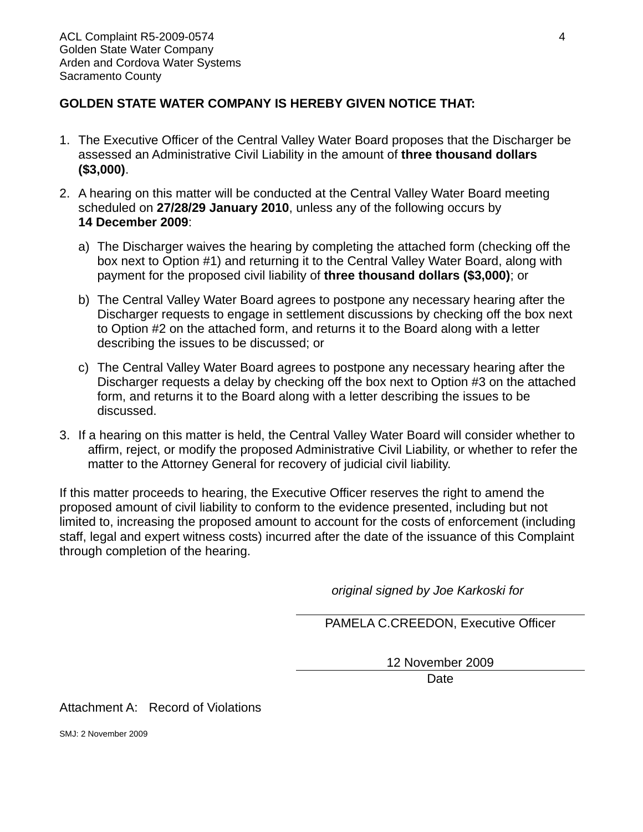# **GOLDEN STATE WATER COMPANY IS HEREBY GIVEN NOTICE THAT:**

- 1. The Executive Officer of the Central Valley Water Board proposes that the Discharger be assessed an Administrative Civil Liability in the amount of **three thousand dollars (\$3,000)**.
- 2. A hearing on this matter will be conducted at the Central Valley Water Board meeting scheduled on **27/28/29 January 2010**, unless any of the following occurs by **14 December 2009**:
	- a) The Discharger waives the hearing by completing the attached form (checking off the box next to Option #1) and returning it to the Central Valley Water Board, along with payment for the proposed civil liability of **three thousand dollars (\$3,000)**; or
	- b) The Central Valley Water Board agrees to postpone any necessary hearing after the Discharger requests to engage in settlement discussions by checking off the box next to Option #2 on the attached form, and returns it to the Board along with a letter describing the issues to be discussed; or
	- c) The Central Valley Water Board agrees to postpone any necessary hearing after the Discharger requests a delay by checking off the box next to Option #3 on the attached form, and returns it to the Board along with a letter describing the issues to be discussed.
- 3. If a hearing on this matter is held, the Central Valley Water Board will consider whether to affirm, reject, or modify the proposed Administrative Civil Liability, or whether to refer the matter to the Attorney General for recovery of judicial civil liability.

If this matter proceeds to hearing, the Executive Officer reserves the right to amend the proposed amount of civil liability to conform to the evidence presented, including but not limited to, increasing the proposed amount to account for the costs of enforcement (including staff, legal and expert witness costs) incurred after the date of the issuance of this Complaint through completion of the hearing.

*original signed by Joe Karkoski for* 

PAMELA C.CREEDON, Executive Officer

12 November 2009

**Date** 

Attachment A: Record of Violations

SMJ: 2 November 2009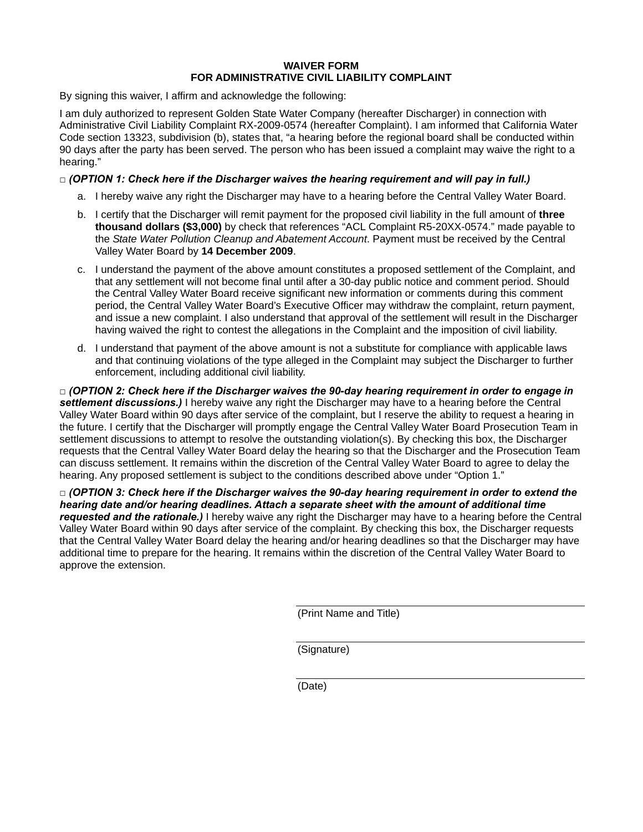#### **WAIVER FORM FOR ADMINISTRATIVE CIVIL LIABILITY COMPLAINT**

By signing this waiver, I affirm and acknowledge the following:

I am duly authorized to represent Golden State Water Company (hereafter Discharger) in connection with Administrative Civil Liability Complaint RX-2009-0574 (hereafter Complaint). I am informed that California Water Code section 13323, subdivision (b), states that, "a hearing before the regional board shall be conducted within 90 days after the party has been served. The person who has been issued a complaint may waive the right to a hearing."

### *□ (OPTION 1: Check here if the Discharger waives the hearing requirement and will pay in full.)*

- a. I hereby waive any right the Discharger may have to a hearing before the Central Valley Water Board.
- b. I certify that the Discharger will remit payment for the proposed civil liability in the full amount of **three thousand dollars (\$3,000)** by check that references "ACL Complaint R5-20XX-0574." made payable to the *State Water Pollution Cleanup and Abatement Account*. Payment must be received by the Central Valley Water Board by **14 December 2009**.
- c. I understand the payment of the above amount constitutes a proposed settlement of the Complaint, and that any settlement will not become final until after a 30-day public notice and comment period. Should the Central Valley Water Board receive significant new information or comments during this comment period, the Central Valley Water Board's Executive Officer may withdraw the complaint, return payment, and issue a new complaint. I also understand that approval of the settlement will result in the Discharger having waived the right to contest the allegations in the Complaint and the imposition of civil liability.
- d. I understand that payment of the above amount is not a substitute for compliance with applicable laws and that continuing violations of the type alleged in the Complaint may subject the Discharger to further enforcement, including additional civil liability.

*□ (OPTION 2: Check here if the Discharger waives the 90-day hearing requirement in order to engage in settlement discussions.)* I hereby waive any right the Discharger may have to a hearing before the Central Valley Water Board within 90 days after service of the complaint, but I reserve the ability to request a hearing in the future. I certify that the Discharger will promptly engage the Central Valley Water Board Prosecution Team in settlement discussions to attempt to resolve the outstanding violation(s). By checking this box, the Discharger requests that the Central Valley Water Board delay the hearing so that the Discharger and the Prosecution Team can discuss settlement. It remains within the discretion of the Central Valley Water Board to agree to delay the hearing. Any proposed settlement is subject to the conditions described above under "Option 1."

*□ (OPTION 3: Check here if the Discharger waives the 90-day hearing requirement in order to extend the hearing date and/or hearing deadlines. Attach a separate sheet with the amount of additional time requested and the rationale.)* I hereby waive any right the Discharger may have to a hearing before the Central Valley Water Board within 90 days after service of the complaint. By checking this box, the Discharger requests that the Central Valley Water Board delay the hearing and/or hearing deadlines so that the Discharger may have additional time to prepare for the hearing. It remains within the discretion of the Central Valley Water Board to approve the extension.

(Print Name and Title)

(Signature)

(Date)